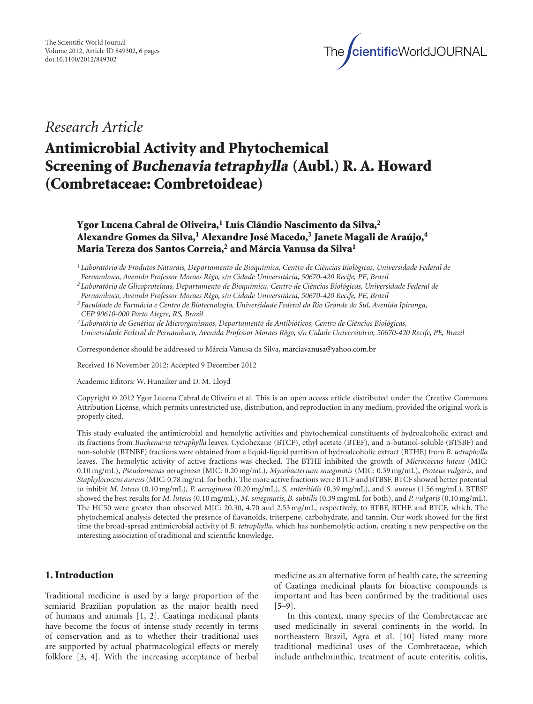

## *Research Article*

# **Antimicrobial Activity and Phytochemical Screening of Buchenavia tetraphylla (Aubl.) R. A. Howard (Combretaceae: Combretoideae)**

## **Ygor Lucena Cabral de Oliveira,1 Luıs Cl ´ audio Nascimento da Silva, ´ <sup>2</sup> Alexandre Gomes da Silva,1 Alexandre Jose Macedo, ´ <sup>3</sup> Janete Magali de Araujo, ´ <sup>4</sup> Maria Tereza dos Santos Correia,2 and Marcia Vanusa da Silva ´ <sup>1</sup>**

*<sup>1</sup> Laboratorio de Produtos Naturais, Departamento de Bioqu ´ ´ımica, Centro de Ciˆencias Biologicas, Universidade Federal de ´ Pernambuco, Avenida Professor Moraes Rˆego, s/n Cidade Universitaria, 50670-420 Recife, PE, Brazil ´*

*<sup>2</sup> Laboratorio de Glicoprote ´ ´ınas, Departamento de Bioqu´ımica, Centro de Ciˆencias Biologicas, Universidade Federal de ´*

*Pernambuco, Avenida Professor Moraes Rˆego, s/n Cidade Universitaria, 50670-420 Recife, PE, Brazil ´*

*<sup>3</sup> Faculdade de Farmacia e Centro de Biotecnologia, Universidade Federal do Rio Grande do Sul, Avenida Ipiranga, ´ CEP 90610-000 Porto Alegre, RS, Brazil*

*<sup>4</sup> Laboratorio de Gen ´ ´etica de Microrganismos, Departamento de Antibioticos, Centro de Ci ´ ˆencias Biologicas, ´ Universidade Federal de Pernambuco, Avenida Professor Moraes Rˆego, s/n Cidade Universitaria, 50670-420 Recife, PE, Brazil ´*

Correspondence should be addressed to Márcia Vanusa da Silva, [marciavanusa@yahoo.com.br](mailto:marciavanusa@yahoo.com.br)

Received 16 November 2012; Accepted 9 December 2012

Academic Editors: W. Hunziker and D. M. Lloyd

Copyright © 2012 Ygor Lucena Cabral de Oliveira et al. This is an open access article distributed under the Creative Commons Attribution License, which permits unrestricted use, distribution, and reproduction in any medium, provided the original work is properly cited.

This study evaluated the antimicrobial and hemolytic activities and phytochemical constituents of hydroalcoholic extract and its fractions from *Buchenavia tetraphylla* leaves. Cyclohexane (BTCF), ethyl acetate (BTEF), and n-butanol-soluble (BTSBF) and non-soluble (BTNBF) fractions were obtained from a liquid-liquid partition of hydroalcoholic extract (BTHE) from *B. tetraphylla* leaves. The hemolytic activity of active fractions was checked. The BTHE inhibited the growth of *Micrococcus luteus* (MIC: 0.10 mg/mL), *Pseudomonas aeruginosa* (MIC: 0.20 mg/mL), *Mycobacterium smegmatis* (MIC: 0.39 mg/mL), *Proteus vulgaris,* and *Staphylococcus aureus*(MIC: 0.78 mg/mL for both). The more active fractions were BTCF and BTBSF. BTCF showed better potential to inhibit *M. luteus* (0.10 mg/mL), *P. aeruginosa* (0.20 mg/mL), *S. enteritidis* (0.39 mg/mL), and *S. aureus* (1.56 mg/mL). BTBSF showed the best results for *M. luteus* (0.10 mg/mL), *M. smegmatis*, *B. subtilis* (0.39 mg/mL for both), and *P. vulgaris* (0.10 mg/mL). The HC50 were greater than observed MIC: 20.30, 4.70 and 2.53 mg/mL, respectively, to BTBF, BTHE and BTCF, which. The phytochemical analysis detected the presence of flavanoids, triterpene, carbohydrate, and tannin. Our work showed for the first time the broad-spread antimicrobial activity of *B. tetraphylla*, which has nonhemolytic action, creating a new perspective on the interesting association of traditional and scientific knowledge.

### **1. Introduction**

Traditional medicine is used by a large proportion of the semiarid Brazilian population as the major health need of humans and animals [\[1](#page-4-1), [2](#page-4-2)]. Caatinga medicinal plants have become the focus of intense study recently in terms of conservation and as to whether their traditional uses are supported by actual pharmacological effects or merely folklore [\[3,](#page-4-3) [4\]](#page-4-4). With the increasing acceptance of herbal

medicine as an alternative form of health care, the screening of Caatinga medicinal plants for bioactive compounds is important and has been confirmed by the traditional uses [\[5](#page-4-5)[–9\]](#page-4-6).

In this context, many species of the Combretaceae are used medicinally in several continents in the world. In northeastern Brazil, Agra et al. [\[10](#page-4-7)] listed many more traditional medicinal uses of the Combretaceae, which include anthelminthic, treatment of acute enteritis, colitis,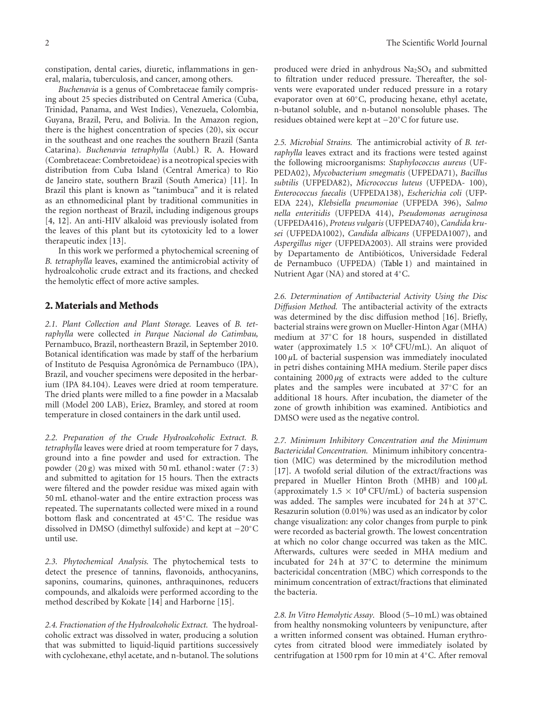constipation, dental caries, diuretic, inflammations in general, malaria, tuberculosis, and cancer, among others.

*Buchenavia* is a genus of Combretaceae family comprising about 25 species distributed on Central America (Cuba, Trinidad, Panama, and West Indies), Venezuela, Colombia, Guyana, Brazil, Peru, and Bolivia. In the Amazon region, there is the highest concentration of species (20), six occur in the southeast and one reaches the southern Brazil (Santa Catarina). *Buchenavia tetraphylla* (Aubl.) R. A. Howard (Combretaceae: Combretoideae) is a neotropical species with distribution from Cuba Island (Central America) to Rio de Janeiro state, southern Brazil (South America) [\[11](#page-4-8)]. In Brazil this plant is known as "tanimbuca" and it is related as an ethnomedicinal plant by traditional communities in the region northeast of Brazil, including indigenous groups [\[4](#page-4-4), [12\]](#page-4-9). An anti-HIV alkaloid was previously isolated from the leaves of this plant but its cytotoxicity led to a lower therapeutic index [\[13\]](#page-4-10).

In this work we performed a phytochemical screening of *B. tetraphylla* leaves, examined the antimicrobial activity of hydroalcoholic crude extract and its fractions, and checked the hemolytic effect of more active samples.

#### **2. Materials and Methods**

*2.1. Plant Collection and Plant Storage.* Leaves of *B. tetraphylla* were collected *in Parque Nacional do Catimbau,* Pernambuco, Brazil, northeastern Brazil, in September 2010. Botanical identification was made by staff of the herbarium of Instituto de Pesquisa Agronômica de Pernambuco (IPA), Brazil, and voucher specimens were deposited in the herbarium (IPA 84.104). Leaves were dried at room temperature. The dried plants were milled to a fine powder in a Macsalab mill (Model 200 LAB), Eriez, Bramley, and stored at room temperature in closed containers in the dark until used.

*2.2. Preparation of the Crude Hydroalcoholic Extract. B. tetraphylla* leaves were dried at room temperature for 7 days, ground into a fine powder and used for extraction. The powder  $(20 g)$  was mixed with 50 mL ethanol: water  $(7:3)$ and submitted to agitation for 15 hours. Then the extracts were filtered and the powder residue was mixed again with 50 mL ethanol-water and the entire extraction process was repeated. The supernatants collected were mixed in a round bottom flask and concentrated at 45◦C. The residue was dissolved in DMSO (dimethyl sulfoxide) and kept at −20◦C until use.

*2.3. Phytochemical Analysis.* The phytochemical tests to detect the presence of tannins, flavonoids, anthocyanins, saponins, coumarins, quinones, anthraquinones, reducers compounds, and alkaloids were performed according to the method described by Kokate [\[14\]](#page-4-11) and Harborne [\[15\]](#page-4-12).

*2.4. Fractionation of the Hydroalcoholic Extract.* The hydroalcoholic extract was dissolved in water, producing a solution that was submitted to liquid-liquid partitions successively with cyclohexane, ethyl acetate, and n-butanol. The solutions produced were dried in anhydrous  $Na<sub>2</sub>SO<sub>4</sub>$  and submitted to filtration under reduced pressure. Thereafter, the solvents were evaporated under reduced pressure in a rotary evaporator oven at 60◦C, producing hexane, ethyl acetate, n-butanol soluble, and n-butanol nonsoluble phases. The residues obtained were kept at −20◦C for future use.

*2.5. Microbial Strains.* The antimicrobial activity of *B. tetraphylla* leaves extract and its fractions were tested against the following microorganisms: *Staphylococcus aureus* (UF-PEDA02), *Mycobacterium smegmatis* (UFPEDA71), *Bacillus subtilis* (UFPEDA82), *Micrococcus luteus* (UFPEDA- 100), *Enterococcus faecalis* (UFPEDA138), *Escherichia coli* (UFP-EDA 224), *Klebsiella pneumoniae* (UFPEDA 396), *Salmo nella enteritidis* (UFPEDA 414), *Pseudomonas aeruginosa* (UFPEDA416), *Proteus vulgaris*(UFPEDA740), *Candida krusei* (UFPEDA1002), *Candida albicans* (UFPEDA1007), and *Aspergillus niger* (UFPEDA2003). All strains were provided by Departamento de Antibióticos, Universidade Federal de Pernambuco (UFPEDA) [\(Table 1\)](#page-3-0) and maintained in Nutrient Agar (NA) and stored at 4◦C.

*2.6. Determination of Antibacterial Activity Using the Disc Diffusion Method.* The antibacterial activity of the extracts was determined by the disc diffusion method [\[16](#page-4-13)]. Briefly, bacterial strains were grown on Mueller-Hinton Agar (MHA) medium at 37◦C for 18 hours, suspended in distillated water (approximately  $1.5 \times 10^8$  CFU/mL). An aliquot of 100 *µ*L of bacterial suspension was immediately inoculated in petri dishes containing MHA medium. Sterile paper discs containing 2000 *µ*g of extracts were added to the culture plates and the samples were incubated at 37◦C for an additional 18 hours. After incubation, the diameter of the zone of growth inhibition was examined. Antibiotics and DMSO were used as the negative control.

*2.7. Minimum Inhibitory Concentration and the Minimum Bactericidal Concentration.* Minimum inhibitory concentration (MIC) was determined by the microdilution method [\[17\]](#page-4-14). A twofold serial dilution of the extract/fractions was prepared in Mueller Hinton Broth (MHB) and 100 *µ*L (approximately  $1.5 \times 10^8$  CFU/mL) of bacteria suspension was added. The samples were incubated for 24 h at 37◦C. Resazurin solution (0.01%) was used as an indicator by color change visualization: any color changes from purple to pink were recorded as bacterial growth. The lowest concentration at which no color change occurred was taken as the MIC. Afterwards, cultures were seeded in MHA medium and incubated for 24 h at 37◦C to determine the minimum bactericidal concentration (MBC) which corresponds to the minimum concentration of extract/fractions that eliminated the bacteria.

*2.8. In Vitro Hemolytic Assay.* Blood (5–10 mL) was obtained from healthy nonsmoking volunteers by venipuncture, after a written informed consent was obtained. Human erythrocytes from citrated blood were immediately isolated by centrifugation at 1500 rpm for 10 min at 4◦C. After removal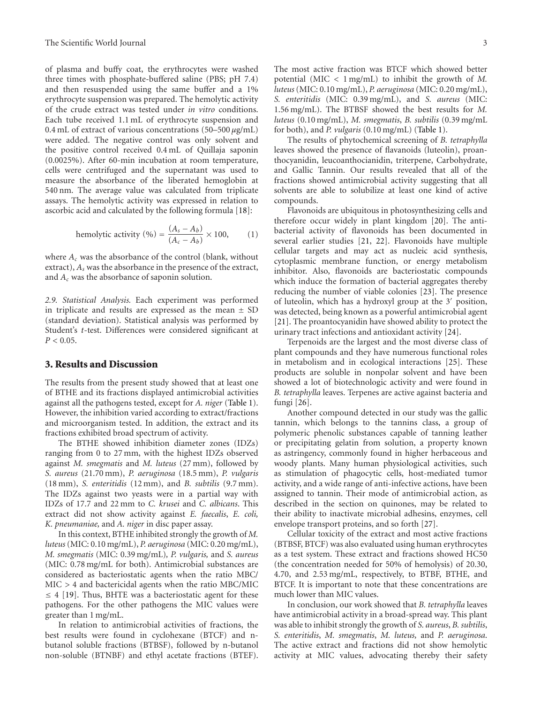of plasma and buffy coat, the erythrocytes were washed three times with phosphate-buffered saline (PBS; pH 7.4) and then resuspended using the same buffer and a 1% erythrocyte suspension was prepared. The hemolytic activity of the crude extract was tested under *in vitro* conditions. Each tube received 1.1 mL of erythrocyte suspension and 0.4 mL of extract of various concentrations (50–500 *µ*g/mL) were added. The negative control was only solvent and the positive control received 0.4 mL of Quillaja saponin (0.0025%). After 60-min incubation at room temperature, cells were centrifuged and the supernatant was used to measure the absorbance of the liberated hemoglobin at 540 nm. The average value was calculated from triplicate assays. The hemolytic activity was expressed in relation to ascorbic acid and calculated by the following formula [\[18](#page-4-15)]:

hemolytic activity (%) = 
$$
\frac{(A_s - A_b)}{(A_c - A_b)} \times 100,
$$
 (1)

where  $A_c$  was the absorbance of the control (blank, without extract), *As* was the absorbance in the presence of the extract, and *Ac* was the absorbance of saponin solution.

*2.9. Statistical Analysis.* Each experiment was performed in triplicate and results are expressed as the mean  $\pm$  SD (standard deviation). Statistical analysis was performed by Student's *t*-test. Differences were considered significant at  $P < 0.05$ .

#### **3. Results and Discussion**

The results from the present study showed that at least one of BTHE and its fractions displayed antimicrobial activities against all the pathogens tested, except for *A. niger* [\(Table 1\)](#page-3-0). However, the inhibition varied according to extract/fractions and microorganism tested. In addition, the extract and its fractions exhibited broad spectrum of activity.

The BTHE showed inhibition diameter zones (IDZs) ranging from 0 to 27 mm, with the highest IDZs observed against *M. smegmatis* and *M. luteus* (27 mm), followed by *S. aureus* (21.70 mm), *P. aeruginosa* (18.5 mm), *P. vulgaris* (18 mm), *S. enteritidis* (12 mm), and *B. subtilis* (9.7 mm). The IDZs against two yeasts were in a partial way with IDZs of 17.7 and 22 mm to *C. krusei* and *C. albicans*. This extract did not show activity against *E. faecalis*, *E. coli, K. pneumaniae,* and *A. niger* in disc paper assay.

In this context, BTHE inhibited strongly the growth of *M. luteus*(MIC: 0.10 mg/mL), *P. aeruginosa* (MIC: 0.20 mg/mL), *M. smegmatis* (MIC: 0.39 mg/mL)*, P. vulgaris,* and *S. aureus* (MIC: 0.78 mg/mL for both). Antimicrobial substances are considered as bacteriostatic agents when the ratio MBC/ MIC *>* 4 and bactericidal agents when the ratio MBC/MIC  $\leq$  4 [\[19\]](#page-4-16). Thus, BHTE was a bacteriostatic agent for these pathogens. For the other pathogens the MIC values were greater than 1 mg/mL.

In relation to antimicrobial activities of fractions, the best results were found in cyclohexane (BTCF) and nbutanol soluble fractions (BTBSF), followed by n-butanol non-soluble (BTNBF) and ethyl acetate fractions (BTEF). The most active fraction was BTCF which showed better potential (MIC *<* 1 mg/mL) to inhibit the growth of *M. luteus*(MIC: 0.10 mg/mL), *P. aeruginosa* (MIC: 0.20 mg/mL), *S. enteritidis* (MIC: 0.39 mg/mL), and *S. aureus* (MIC: 1.56 mg/mL). The BTBSF showed the best results for *M. luteus* (0.10 mg/mL), *M. smegmatis*, *B. subtilis* (0.39 mg/mL for both), and *P. vulgaris* (0.10 mg/mL) [\(Table 1\)](#page-3-0).

The results of phytochemical screening of *B. tetraphylla* leaves showed the presence of flavanoids (luteolin), proanthocyanidin, leucoanthocianidin, triterpene, Carbohydrate, and Gallic Tannin. Our results revealed that all of the fractions showed antimicrobial activity suggesting that all solvents are able to solubilize at least one kind of active compounds.

Flavonoids are ubiquitous in photosynthesizing cells and therefore occur widely in plant kingdom [\[20\]](#page-4-17). The antibacterial activity of flavonoids has been documented in several earlier studies [\[21](#page-4-18), [22](#page-4-19)]. Flavonoids have multiple cellular targets and may act as nucleic acid synthesis, cytoplasmic membrane function, or energy metabolism inhibitor. Also, flavonoids are bacteriostatic compounds which induce the formation of bacterial aggregates thereby reducing the number of viable colonies [\[23](#page-4-20)]. The presence of luteolin, which has a hydroxyl group at the 3' position, was detected, being known as a powerful antimicrobial agent [\[21\]](#page-4-18). The proantocyanidin have showed ability to protect the urinary tract infections and antioxidant activity [\[24\]](#page-4-21).

Terpenoids are the largest and the most diverse class of plant compounds and they have numerous functional roles in metabolism and in ecological interactions [\[25\]](#page-4-22). These products are soluble in nonpolar solvent and have been showed a lot of biotechnologic activity and were found in *B. tetraphylla* leaves. Terpenes are active against bacteria and fungi [\[26](#page-5-0)].

Another compound detected in our study was the gallic tannin, which belongs to the tannins class, a group of polymeric phenolic substances capable of tanning leather or precipitating gelatin from solution, a property known as astringency, commonly found in higher herbaceous and woody plants. Many human physiological activities, such as stimulation of phagocytic cells, host-mediated tumor activity, and a wide range of anti-infective actions, have been assigned to tannin. Their mode of antimicrobial action, as described in the section on quinones, may be related to their ability to inactivate microbial adhesins, enzymes, cell envelope transport proteins, and so forth [\[27](#page-5-1)].

Cellular toxicity of the extract and most active fractions (BTBSF, BTCF) was also evaluated using human erythrocytes as a test system. These extract and fractions showed HC50 (the concentration needed for 50% of hemolysis) of 20.30, 4.70, and 2.53 mg/mL, respectively, to BTBF, BTHE, and BTCF. It is important to note that these concentrations are much lower than MIC values.

In conclusion, our work showed that *B. tetraphylla* leaves have antimicrobial activity in a broad-spread way. This plant was able to inhibit strongly the growth of *S. aureus*, *B. subtilis*, *S. enteritidis*, *M. smegmatis*, *M. luteus,* and *P. aeruginosa*. The active extract and fractions did not show hemolytic activity at MIC values, advocating thereby their safety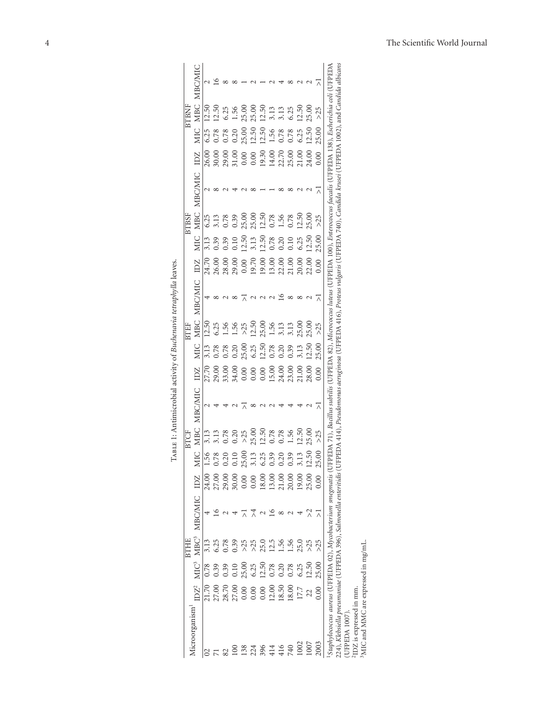| BTBNF<br><b>BTBSF</b><br><b>BTEF</b><br><b>BTCF</b> | <b>MBC/MIC</b><br>MIC MBC<br>IDZ<br><b>MBC/MIC</b><br>MIC MBC<br>IDZ<br><b>MBC/MIC</b><br><b>MBC</b><br>MIC<br>IDZ<br><b>MBC/MIC</b><br><b>MBC</b><br>MIC | 12.50<br>6.25<br>26.00<br>6.25<br>3.13<br>12.50<br>3.13<br>3.13<br>56 | 12.50<br>0.78<br>3.13<br>0.39<br>6.25<br>3.13<br>78. | 6.25<br>0.78<br>0.78<br>0.39<br>$1.56$<br>$1.56$<br>0.78<br>27.70<br>29.00<br>33.00<br>0.78<br>.20<br>24.00<br>27.00<br>29.00 | 1.56<br>0.20<br>0.39<br>0.10<br>0.20<br>34.00<br>0.20<br>0.10 | 25.00<br>$\begin{array}{l} 30.00 \\ 30.00 \\ 21.00 \\ 31.00 \\ 0.00 \\ 0.01 \\ 0.00 \\ 0.01 \\ 0.00 \\ 0.01 \\ 0.00 \\ 0.01 \\ 0.00 \\ 0.01 \\ 0.01 \\ 0.01 \\ 0.01 \\ 0.01 \\ 0.01 \\ 0.01 \\ 0.01 \\ 0.01 \\ 0.01 \\ 0.01 \\ 0.01 \\ 0.01 \\ 0.01 \\ 0.01 \\ 0.01 \\ 0.01 \\ 0.01 \\ 0.01 \\ 0.01 \\ 0.02 \\ 0.02$<br>25.00<br>12.50<br>$\begin{array}{l} 24.70 \\ 26.00 \\ 26.00 \\ 28.00 \\ 29.00 \\ 19.00 \\ 10.00 \\ 11.00 \\ 12.00 \\ 13.00 \\ 13.00 \\ 20.00 \\ 20.00 \\ 20.00 \\ 20.00 \\ 20.00 \\ 20.00 \\ 20.00 \\ 20.00 \\ 20.00 \\ 20.00 \\ 20.00 \\ 20.00 \\ 20.00 \\ 20.00 \\ 20.00 \\ 20.00 \\ 20.00 \\ 20.00 \\ 20.00 \\ 20$<br>$>25$<br>25.00<br>$>25$<br>25.00<br>$0.00\,$ | 25.00<br>25.00<br>12.50<br>12.50<br>25.00<br>3.13<br>6.25<br>25.00<br>3.13 | 12.50<br>12.50<br>12.50<br>12.50<br>25.00<br>12.50<br>12.50<br>6.25 | 3.13<br>1.56<br>0.78<br>0.78<br>0.78<br>0.78<br>$\ddot{.}39$<br>$\begin{array}{c} 0.00 \\[-4pt] 0.00 \\[-4pt] 0.00 \\[-4pt] 0.00 \\[-4pt] 0.00 \\[-4pt] 0.00 \\[-4pt] 0.00 \\[-4pt] 0.00 \\[-4pt] 0.00 \\[-4pt] 0.00 \\[-4pt] 0.00 \\[-4pt] 0.00 \\[-4pt] 0.00 \\[-4pt] 0.00 \\[-4pt] 0.00 \\[-4pt] 0.00 \\[-4pt] 0.00 \\[-4pt] 0.00 \\[-4pt] 0.00 \\[-4pt] 0.00 \\[-4pt] 0.00 \\[-4pt] 0.$ | 3.13<br>0.78<br>1.56<br>0.20<br>$1.56$<br>$3.13$<br>$3.13$<br>$25.00$<br>0.20<br>15.00<br>24.00<br>0.78<br>20 | 6.25<br>0.78<br>0.78<br>0.10<br>0.39<br>23.00<br>1.56<br>.39 | 12.50<br>6.25<br>12.50<br>6.25<br>3.13<br><b>21.00</b><br>12.50<br>3.13 | 25.00<br>12.50<br>24.00<br>25.00<br>12.50<br>22.00<br>25.00<br>12.50<br>28.00<br>25.00<br>2.50 | >25<br>25.00<br>0.00<br>>25<br>25.00<br>0.00<br>$>25$<br>25.00<br>0.00<br>>25<br>25.00<br>0.00 |
|-----------------------------------------------------|-----------------------------------------------------------------------------------------------------------------------------------------------------------|-----------------------------------------------------------------------|------------------------------------------------------|-------------------------------------------------------------------------------------------------------------------------------|---------------------------------------------------------------|-----------------------------------------------------------------------------------------------------------------------------------------------------------------------------------------------------------------------------------------------------------------------------------------------------------------------------------------------------------------------------------------------------------------------------------------------------------------------------------------------------------------------------------------------------------------------------------------------------------------------------------------------------------------------------------------------|----------------------------------------------------------------------------|---------------------------------------------------------------------|---------------------------------------------------------------------------------------------------------------------------------------------------------------------------------------------------------------------------------------------------------------------------------------------------------------------------------------------------------------------------------------------|---------------------------------------------------------------------------------------------------------------|--------------------------------------------------------------|-------------------------------------------------------------------------|------------------------------------------------------------------------------------------------|------------------------------------------------------------------------------------------------|
|                                                     | MIC <sup>3</sup> MBC <sup>3</sup> MBC/MIC IDZ                                                                                                             |                                                                       |                                                      |                                                                                                                               |                                                               |                                                                                                                                                                                                                                                                                                                                                                                                                                                                                                                                                                                                                                                                                               |                                                                            |                                                                     |                                                                                                                                                                                                                                                                                                                                                                                             |                                                                                                               |                                                              |                                                                         |                                                                                                |                                                                                                |
| <b>BTHE</b>                                         |                                                                                                                                                           | 3.13<br>0.78                                                          | 6.25<br>0.39                                         | 0.78<br>0.39                                                                                                                  | 0.39<br>0.10                                                  | >25<br>25.00                                                                                                                                                                                                                                                                                                                                                                                                                                                                                                                                                                                                                                                                                  |                                                                            | 25.0<br>$6.25$<br>12.50                                             | 12.5<br>0.78                                                                                                                                                                                                                                                                                                                                                                                | 1.56<br>0.20                                                                                                  | 1.56<br>0.78                                                 | 25.0<br>6.25                                                            | >25<br>12.50                                                                                   | >25<br>25.00                                                                                   |
|                                                     | $IDZ^2$<br>Microorganism <sup>1</sup>                                                                                                                     |                                                                       |                                                      |                                                                                                                               |                                                               | $\begin{array}{l} 7.70 \\ 2.700 \\ 2.700 \\ 2.700 \\ 2.700 \\ 0.00 \\ 0.00 \\ 0.00 \\ \end{array}$                                                                                                                                                                                                                                                                                                                                                                                                                                                                                                                                                                                            | 224                                                                        | 396                                                                 | 12.00<br>414                                                                                                                                                                                                                                                                                                                                                                                | 18.50<br>416                                                                                                  | 18.00<br>740                                                 | 17.7<br>1002                                                            | 22<br>1007                                                                                     | 0.00<br>2003                                                                                   |

<span id="page-3-0"></span>

| a se contra la s                                                                                            |
|-------------------------------------------------------------------------------------------------------------|
| $104.044.0414.0 + 0.00$<br>į.<br>.<br>۲                                                                     |
| <b>、 、 、 、 、 、 、 、 、 、 、</b><br>֧֧֧֧֧֧֧֧֧֧֚֚֚֚֚֚֚֚֚֚֚֚֚֚֚֚֚֚֚֚֚֚֚֞֝֝֝֝֝֝֝֝֝֝֬֝֓֝֬֝֓֝֬֝֬֝֬֝֬֝<br>,<br>,<br>j |
| <b>A 1 0 10 0 10 10 10</b><br>í<br>I                                                                        |

4 The Scientific World Journal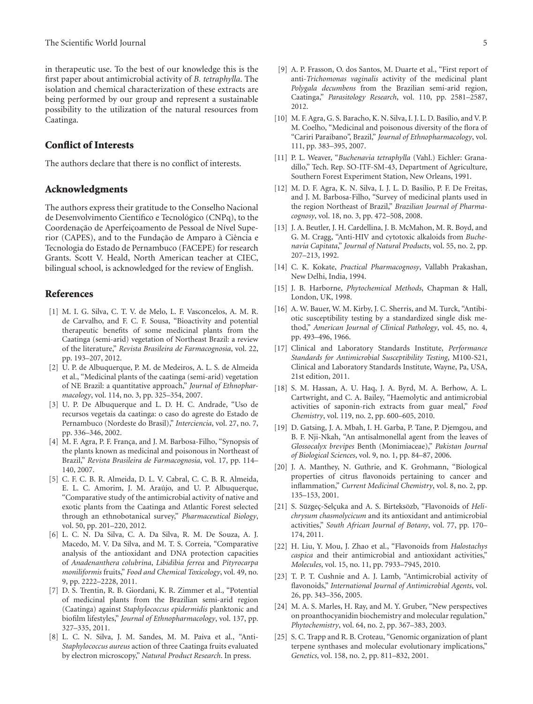in therapeutic use. To the best of our knowledge this is the first paper about antimicrobial activity of *B. tetraphylla*. The isolation and chemical characterization of these extracts are being performed by our group and represent a sustainable possibility to the utilization of the natural resources from Caatinga.

#### **Conflict of Interests**

The authors declare that there is no conflict of interests.

#### **Acknowledgments**

The authors express their gratitude to the Conselho Nacional de Desenvolvimento Científico e Tecnológico (CNPq), to the Coordenação de Aperfeiçoamento de Pessoal de Nível Superior (CAPES), and to the Fundação de Amparo à Ciência e Tecnologia do Estado de Pernambuco (FACEPE) for research Grants. Scott V. Heald, North American teacher at CIEC, bilingual school, is acknowledged for the review of English.

#### <span id="page-4-0"></span>**References**

- <span id="page-4-1"></span>[1] M. I. G. Silva, C. T. V. de Melo, L. F. Vasconcelos, A. M. R. de Carvalho, and F. C. F. Sousa, "Bioactivity and potential therapeutic benefits of some medicinal plants from the Caatinga (semi-arid) vegetation of Northeast Brazil: a review of the literature," *Revista Brasileira de Farmacognosia*, vol. 22, pp. 193–207, 2012.
- <span id="page-4-2"></span>[2] U. P. de Albuquerque, P. M. de Medeiros, A. L. S. de Almeida et al., "Medicinal plants of the caatinga (semi-arid) vegetation of NE Brazil: a quantitative approach," *Journal of Ethnopharmacology*, vol. 114, no. 3, pp. 325–354, 2007.
- <span id="page-4-3"></span>[3] U. P. De Albuquerque and L. D. H. C. Andrade, "Uso de recursos vegetais da caatinga: o caso do agreste do Estado de Pernambuco (Nordeste do Brasil)," *Interciencia*, vol. 27, no. 7, pp. 336–346, 2002.
- <span id="page-4-4"></span>[4] M. F. Agra, P. F. França, and J. M. Barbosa-Filho, "Synopsis of the plants known as medicinal and poisonous in Northeast of Brazil," *Revista Brasileira de Farmacognosia*, vol. 17, pp. 114– 140, 2007.
- <span id="page-4-5"></span>[5] C. F. C. B. R. Almeida, D. L. V. Cabral, C. C. B. R. Almeida, E. L. C. Amorim, J. M. Araújo, and U. P. Albuquerque, "Comparative study of the antimicrobial activity of native and exotic plants from the Caatinga and Atlantic Forest selected through an ethnobotanical survey," *Pharmaceutical Biology*, vol. 50, pp. 201–220, 2012.
- [6] L. C. N. Da Silva, C. A. Da Silva, R. M. De Souza, A. J. Macedo, M. V. Da Silva, and M. T. S. Correia, "Comparative analysis of the antioxidant and DNA protection capacities of *Anadenanthera colubrina*, *Libidibia ferrea* and *Pityrocarpa moniliformis* fruits," *Food and Chemical Toxicology*, vol. 49, no. 9, pp. 2222–2228, 2011.
- [7] D. S. Trentin, R. B. Giordani, K. R. Zimmer et al., "Potential of medicinal plants from the Brazilian semi-arid region (Caatinga) against *Staphylococcus epidermidis* planktonic and biofilm lifestyles," *Journal of Ethnopharmacology*, vol. 137, pp. 327–335, 2011.
- [8] L. C. N. Silva, J. M. Sandes, M. M. Paiva et al., "Anti-*Staphylococcus aureus* action of three Caatinga fruits evaluated by electron microscopy," *Natural Product Research*. In press.
- <span id="page-4-6"></span>[9] A. P. Frasson, O. dos Santos, M. Duarte et al., "First report of anti-*Trichomonas vaginalis* activity of the medicinal plant *Polygala decumbens* from the Brazilian semi-arid region, Caatinga," *Parasitology Research*, vol. 110, pp. 2581–2587, 2012.
- <span id="page-4-7"></span>[10] M. F. Agra, G. S. Baracho, K. N. Silva, I. J. L. D. Basílio, and V. P. M. Coelho, "Medicinal and poisonous diversity of the flora of "Cariri Paraibano", Brazil," *Journal of Ethnopharmacology*, vol. 111, pp. 383–395, 2007.
- <span id="page-4-8"></span>[11] P. L. Weaver, "*Buchenavia tetraphylla* (Vahl.) Eichler: Granadillo," Tech. Rep. SO-ITF-SM-43, Department of Agriculture, Southern Forest Experiment Station, New Orleans, 1991.
- <span id="page-4-9"></span>[12] M. D. F. Agra, K. N. Silva, I. J. L. D. Basílio, P. F. De Freitas, and J. M. Barbosa-Filho, "Survey of medicinal plants used in the region Northeast of Brazil," *Brazilian Journal of Pharmacognosy*, vol. 18, no. 3, pp. 472–508, 2008.
- <span id="page-4-10"></span>[13] J. A. Beutler, J. H. Cardellina, J. B. McMahon, M. R. Boyd, and G. M. Cragg, "Anti-HIV and cytotoxic alkaloids from *Buchenavia Capitata*," *Journal of Natural Products*, vol. 55, no. 2, pp. 207–213, 1992.
- <span id="page-4-11"></span>[14] C. K. Kokate, *Practical Pharmacognosy*, Vallabh Prakashan, New Delhi, India, 1994.
- <span id="page-4-12"></span>[15] J. B. Harborne, *Phytochemical Methods*, Chapman & Hall, London, UK, 1998.
- <span id="page-4-13"></span>[16] A. W. Bauer, W. M. Kirby, J. C. Sherris, and M. Turck, "Antibiotic susceptibility testing by a standardized single disk method," *American Journal of Clinical Pathology*, vol. 45, no. 4, pp. 493–496, 1966.
- <span id="page-4-14"></span>[17] Clinical and Laboratory Standards Institute, *Performance Standards for Antimicrobial Susceptibility Testing*, M100-S21, Clinical and Laboratory Standards Institute, Wayne, Pa, USA, 21st edition, 2011.
- <span id="page-4-15"></span>[18] S. M. Hassan, A. U. Haq, J. A. Byrd, M. A. Berhow, A. L. Cartwright, and C. A. Bailey, "Haemolytic and antimicrobial activities of saponin-rich extracts from guar meal," *Food Chemistry*, vol. 119, no. 2, pp. 600–605, 2010.
- <span id="page-4-16"></span>[19] D. Gatsing, J. A. Mbah, I. H. Garba, P. Tane, P. Djemgou, and B. F. Nji-Nkah, "An antisalmonellal agent from the leaves of *Glossocalyx brevipes* Benth (Monimiaceae)," *Pakistan Journal of Biological Sciences*, vol. 9, no. 1, pp. 84–87, 2006.
- <span id="page-4-17"></span>[20] J. A. Manthey, N. Guthrie, and K. Grohmann, "Biological properties of citrus flavonoids pertaining to cancer and inflammation," *Current Medicinal Chemistry*, vol. 8, no. 2, pp. 135–153, 2001.
- <span id="page-4-18"></span>[21] S. Süzgeç-Selçuka and A. S. Birteksözb, "Flavonoids of *Helichrysum chasmolycicum* and its antioxidant and antimicrobial activities," *South African Journal of Botany*, vol. 77, pp. 170– 174, 2011.
- <span id="page-4-19"></span>[22] H. Liu, Y. Mou, J. Zhao et al., "Flavonoids from *Halostachys caspica* and their antimicrobial and antioxidant activities," *Molecules*, vol. 15, no. 11, pp. 7933–7945, 2010.
- <span id="page-4-20"></span>[23] T. P. T. Cushnie and A. J. Lamb, "Antimicrobial activity of flavonoids," *International Journal of Antimicrobial Agents*, vol. 26, pp. 343–356, 2005.
- <span id="page-4-21"></span>[24] M. A. S. Marles, H. Ray, and M. Y. Gruber, "New perspectives on proanthocyanidin biochemistry and molecular regulation," *Phytochemistry*, vol. 64, no. 2, pp. 367–383, 2003.
- <span id="page-4-22"></span>[25] S. C. Trapp and R. B. Croteau, "Genomic organization of plant terpene synthases and molecular evolutionary implications," *Genetics*, vol. 158, no. 2, pp. 811–832, 2001.